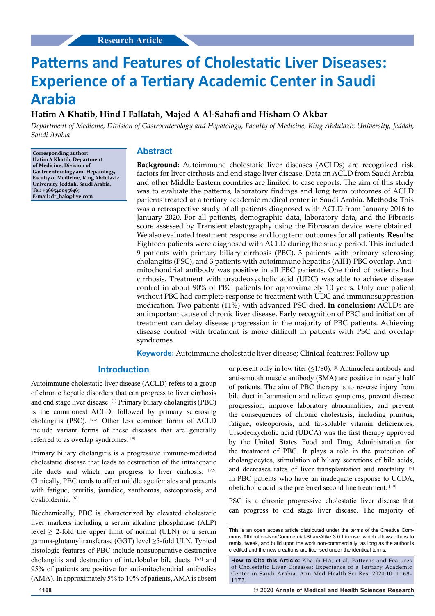# **Patterns and Features of Cholestatic Liver Diseases: Experience of a Tertiary Academic Center in Saudi Arabia**

## **Hatim A Khatib, Hind I Fallatah, Majed A Al-Sahafi and Hisham O Akbar**

*Department of Medicine, Division of Gastroenterology and Hepatology, Faculty of Medicine, King Abdulaziz University, Jeddah, Saudi Arabia*

**Corresponding author: Hatim A Khatib, Department of Medicine, Division of Gastroenterology and Hepatology, Faculty of Medicine, King Abdulaziz University, Jeddah, Saudi Arabia, Tel: +966540095646; E-mail: dr\_hak@live.com**

## **Abstract**

**Background:** Autoimmune cholestatic liver diseases (ACLDs) are recognized risk factors for liver cirrhosis and end stage liver disease. Data on ACLD from Saudi Arabia and other Middle Eastern countries are limited to case reports. The aim of this study was to evaluate the patterns, laboratory findings and long term outcomes of ACLD patients treated at a tertiary academic medical center in Saudi Arabia. **Methods:** This was a retrospective study of all patients diagnosed with ACLD from January 2016 to January 2020. For all patients, demographic data, laboratory data, and the Fibrosis score assessed by Transient elastography using the Fibroscan device were obtained. We also evaluated treatment response and long term outcomes for all patients. **Results:** Eighteen patients were diagnosed with ACLD during the study period. This included 9 patients with primary biliary cirrhosis (PBC), 3 patients with primary sclerosing cholangitis (PSC), and 3 patients with autoimmune hepatitis (AIH)-PBC overlap. Antimitochondrial antibody was positive in all PBC patients. One third of patients had cirrhosis. Treatment with ursodeoxycholic acid (UDC) was able to achieve disease control in about 90% of PBC patients for approximately 10 years. Only one patient without PBC had complete response to treatment with UDC and immunosuppression medication. Two patients (11%) with advanced PSC died. **In conclusion:** ACLDs are an important cause of chronic liver disease. Early recognition of PBC and initiation of treatment can delay disease progression in the majority of PBC patients. Achieving disease control with treatment is more difficult in patients with PSC and overlap syndromes.

**Keywords:** Autoimmune cholestatic liver disease; Clinical features; Follow up

## **Introduction**

Autoimmune cholestatic liver disease (ACLD) refers to a group of chronic hepatic disorders that can progress to liver cirrhosis and end stage liver disease. [1] Primary biliary cholangitis (PBC) is the commonest ACLD, followed by primary sclerosing cholangitis (PSC). [2,3] Other less common forms of ACLD include variant forms of these diseases that are generally referred to as overlap syndromes. [4]

Primary biliary cholangitis is a progressive immune-mediated cholestatic disease that leads to destruction of the intrahepatic bile ducts and which can progress to liver cirrhosis. [2,5] Clinically, PBC tends to affect middle age females and presents with fatigue, pruritis, jaundice, xanthomas, osteoporosis, and dyslipidemia.<sup>[6]</sup>

Biochemically, PBC is characterized by elevated cholestatic liver markers including a serum alkaline phosphatase (ALP) level  $\geq$  2-fold the upper limit of normal (ULN) or a serum gamma-glutamyltransferase (GGT) level ≥5-fold ULN. Typical histologic features of PBC include nonsuppurative destructive cholangitis and destruction of interlobular bile ducts, [7,8] and 95% of patients are positive for anti-mitochondrial antibodies (AMA). In approximately 5% to 10% of patients, AMA is absent

or present only in low titer  $(\leq 1/80)$ . [8] Antinuclear antibody and anti-smooth muscle antibody (SMA) are positive in nearly half of patients. The aim of PBC therapy is to reverse injury from bile duct inflammation and relieve symptoms, prevent disease progression, improve laboratory abnormalities, and prevent the consequences of chronic cholestasis, including pruritus, fatigue, osteoporosis, and fat-soluble vitamin deficiencies. Ursodeoxycholic acid (UDCA) was the first therapy approved by the United States Food and Drug Administration for the treatment of PBC. It plays a role in the protection of cholangiocytes, stimulation of biliary secretions of bile acids, and decreases rates of liver transplantation and mortality. [9] In PBC patients who have an inadequate response to UCDA, obeticholic acid is the preferred second line treatment. [10]

PSC is a chronic progressive cholestatic liver disease that can progress to end stage liver disease. The majority of

This is an open access article distributed under the terms of the Creative Com‑ mons Attribution‑NonCommercial‑ShareAlike 3.0 License, which allows others to remix, tweak, and build upon the work non‑commercially, as long as the author is credited and the new creations are licensed under the identical terms.

**How to Cite this Article:** Khatib HA, et al. Patterns and Features of Cholestatic Liver Diseases: Experience of a Tertiary Academic Center in Saudi Arabia. Ann Med Health Sci Res. 2020;10: 1168- 1172.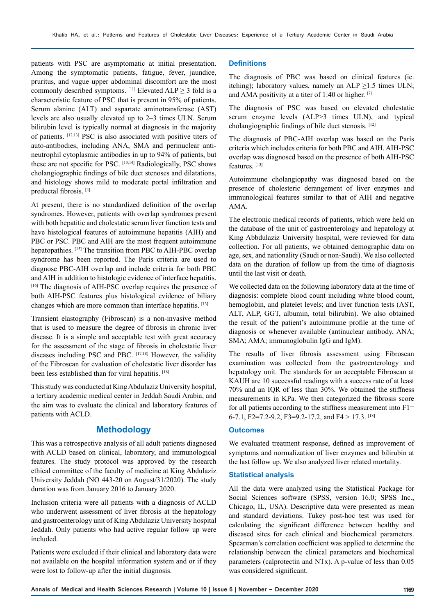patients with PSC are asymptomatic at initial presentation. Among the symptomatic patients, fatigue, fever, jaundice, pruritus, and vague upper abdominal discomfort are the most commonly described symptoms.  $^{[11]}$  Elevated ALP  $\geq$  3 fold is a characteristic feature of PSC that is present in 95% of patients. Serum alanine (ALT) and aspartate aminotransferase (AST) levels are also usually elevated up to 2–3 times ULN. Serum bilirubin level is typically normal at diagnosis in the majority of patients. [12,13] PSC is also associated with positive titers of auto-antibodies, including ANA, SMA and perinuclear antineutrophil cytoplasmic antibodies in up to 94% of patients, but these are not specific for PSC. [13,14] Radiologically, PSC shows cholangiographic findings of bile duct stenoses and dilatations, and histology shows mild to moderate portal infiltration and preductal fibrosis. [4]

At present, there is no standardized definition of the overlap syndromes. However, patients with overlap syndromes present with both hepatitic and cholestatic serum liver function tests and have histological features of autoimmune hepatitis (AIH) and PBC or PSC. PBC and AIH are the most frequent autoimmune hepatopathies. [15] The transition from PBC to AIH-PBC overlap syndrome has been reported. The Paris criteria are used to diagnose PBC-AIH overlap and include criteria for both PBC and AIH in addition to histologic evidence of interface hepatitis. [16] The diagnosis of AIH-PSC overlap requires the presence of both AIH-PSC features plus histological evidence of biliary changes which are more common than interface hepatitis. [13]

Transient elastography (Fibroscan) is a non-invasive method that is used to measure the degree of fibrosis in chronic liver disease. It is a simple and acceptable test with great accuracy for the assessment of the stage of fibrosis in cholestatic liver diseases including PSC and PBC. [17,18] However, the validity of the Fibroscan for evaluation of cholestatic liver disorder has been less established than for viral hepatitis. [18]

This study was conducted at King Abdulaziz University hospital, a tertiary academic medical center in Jeddah Saudi Arabia, and the aim was to evaluate the clinical and laboratory features of patients with ACLD.

## **Methodology**

This was a retrospective analysis of all adult patients diagnosed with ACLD based on clinical, laboratory, and immunological features. The study protocol was approved by the research ethical committee of the faculty of medicine at King Abdulaziz University Jeddah (NO 443-20 on August/31/2020). The study duration was from January 2016 to January 2020.

Inclusion criteria were all patients with a diagnosis of ACLD who underwent assessment of liver fibrosis at the hepatology and gastroenterology unit of King Abdulaziz University hospital Jeddah. Only patients who had active regular follow up were included.

Patients were excluded if their clinical and laboratory data were not available on the hospital information system and or if they were lost to follow-up after the initial diagnosis.

#### **Definitions**

The diagnosis of PBC was based on clinical features (ie. itching); laboratory values, namely an ALP  $\geq$ 1.5 times ULN; and AMA positivity at a titer of 1:40 or higher.  $[7]$ 

The diagnosis of PSC was based on elevated cholestatic serum enzyme levels (ALP>3 times ULN), and typical cholangiographic findings of bile duct stenosis. [12]

The diagnosis of PBC-AIH overlap was based on the Paris criteria which includes criteria for both PBC and AIH. AIH-PSC overlap was diagnosed based on the presence of both AIH-PSC features. [13]

Autoimmune cholangiopathy was diagnosed based on the presence of cholesteric derangement of liver enzymes and immunological features similar to that of AIH and negative AMA.

The electronic medical records of patients, which were held on the database of the unit of gastroenterology and hepatology at King Abbdulaziz University hospital, were reviewed for data collection. For all patients, we obtained demographic data on age, sex, and nationality (Saudi or non-Saudi). We also collected data on the duration of follow up from the time of diagnosis until the last visit or death.

We collected data on the following laboratory data at the time of diagnosis: complete blood count including white blood count, hemoglobin, and platelet levels; and liver function tests (AST, ALT, ALP, GGT, albumin, total bilirubin). We also obtained the result of the patient's autoimmune profile at the time of diagnosis or whenever available (antinuclear antibody, ANA; SMA; AMA; immunoglobulin IgG and IgM).

The results of liver fibrosis assessment using Fibroscan examination was collected from the gastroenterology and hepatology unit. The standards for an acceptable Fibroscan at KAUH are 10 successful readings with a success rate of at least 70% and an IQR of less than 30%. We obtained the stiffness measurements in KPa. We then categorized the fibrosis score for all patients according to the stiffness measurement into F1= 6-7.1, F2=7.2-9.2, F3=9.2-17.2, and F4 > 17.3. [18]

#### **Outcomes**

We evaluated treatment response, defined as improvement of symptoms and normalization of liver enzymes and bilirubin at the last follow up. We also analyzed liver related mortality.

#### **Statistical analysis**

All the data were analyzed using the Statistical Package for Social Sciences software (SPSS, version 16.0; SPSS Inc., Chicago, IL, USA). Descriptive data were presented as mean and standard deviations. Tukey post-hoc test was used for calculating the significant difference between healthy and diseased sites for each clinical and biochemical parameters. Spearman's correlation coefficient was applied to determine the relationship between the clinical parameters and biochemical parameters (calprotectin and NTx). A p-value of less than 0.05 was considered significant.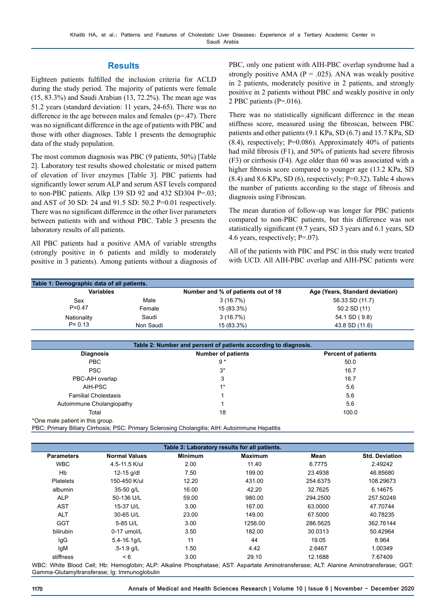## **Results**

Eighteen patients fulfilled the inclusion criteria for ACLD during the study period. The majority of patients were female (15, 83.3%) and Saudi Arabian (13, 72.2%). The mean age was 51.2 years (standard deviation: 11 years, 24-65). There was no difference in the age between males and females ( $p=47$ ). There was no significant difference in the age of patients with PBC and those with other diagnoses. Table 1 presents the demographic data of the study population.

The most common diagnosis was PBC (9 patients, 50%) [Table 2]. Laboratory test results showed cholestatic or mixed pattern of elevation of liver enzymes [Table 3]. PBC patients had significantly lower serum ALP and serum AST levels compared to non-PBC patients. Alkp 139 SD 92 and 432 SD304 P=.03; and AST of 30 SD: 24 and 91.5 SD: 50.2 P=0.01 respectively. There was no significant difference in the other liver parameters between patients with and without PBC. Table 3 presents the laboratory results of all patients.

All PBC patients had a positive AMA of variable strengths (strongly positive in 6 patients and mildly to moderately positive in 3 patients). Among patients without a diagnosis of PBC, only one patient with AIH-PBC overlap syndrome had a strongly positive AMA ( $P = .025$ ). ANA was weakly positive in 2 patients, moderately positive in 2 patients, and strongly positive in 2 patients without PBC and weakly positive in only 2 PBC patients (P=.016).

There was no statistically significant difference in the mean stiffness score, measured using the fibroscan, between PBC patients and other patients (9.1 KPa, SD (6.7) and 15.7 KPa, SD (8.4), respectively; P=0.086). Approximately 40% of patients had mild fibrosis (F1), and 50% of patients had severe fibrosis (F3) or cirrhosis (F4). Age older than 60 was associated with a higher fibrosis score compared to younger age (13.2 KPa, SD  $(8.4)$  and  $8.6$  KPa, SD  $(6)$ , respectively; P=0.32). Table 4 shows the number of patients according to the stage of fibrosis and diagnosis using Fibroscan.

The mean duration of follow-up was longer for PBC patients compared to non-PBC patients, but this difference was not statistically significant (9.7 years, SD 3 years and 6.1 years, SD 4.6 years, respectively; P=.07).

All of the patients with PBC and PSC in this study were treated with UCD. All AIH-PBC overlap and AIH-PSC patients were

| <b>Variables</b> |           | Number and % of patients out of 18 | Age (Years, Standard deviation) |  |
|------------------|-----------|------------------------------------|---------------------------------|--|
| Sex              | Male      | 3(16.7%)                           | 56.33 SD (11.7)                 |  |
| $P = 0.47$       | Female    | 15 (83.3%)                         | 50.2 SD (11)                    |  |
| Nationality      | Saudi     | 3(16.7%)                           | 54.1 SD (9.8)                   |  |
| $P = 0.13$       | Non Saudi | 15 (83.3%)                         | 43.8 SD (11.6)                  |  |

|                                  | Table 2: Number and percent of patients according to diagnosis. |                            |  |  |  |
|----------------------------------|-----------------------------------------------------------------|----------------------------|--|--|--|
| <b>Diagnosis</b>                 | <b>Number of patients</b>                                       | <b>Percent of patients</b> |  |  |  |
| PBC                              | $9*$                                                            | 50.0                       |  |  |  |
| <b>PSC</b>                       | $3^*$                                                           | 16.7                       |  |  |  |
| PBC-AIH overlap                  | 3                                                               | 16.7                       |  |  |  |
| AIH-PSC                          | $1*$                                                            | 5.6                        |  |  |  |
| <b>Familial Cholestasis</b>      |                                                                 | 5.6                        |  |  |  |
| Autoimmune Cholangiopathy        |                                                                 | 5.6                        |  |  |  |
| Total                            | 18                                                              | 100.0                      |  |  |  |
| *One male patient in this group. |                                                                 |                            |  |  |  |

PBC: Primary Biliary Cirrhosis; PSC: Primary Sclerosing Cholangitis; AIH: Autoimmune Hepatitis

|                   |                      |                | Table 3: Laboratory results for all patients. |          |                       |
|-------------------|----------------------|----------------|-----------------------------------------------|----------|-----------------------|
| <b>Parameters</b> | <b>Normal Values</b> | <b>Minimum</b> | <b>Maximum</b>                                | Mean     | <b>Std. Deviation</b> |
| <b>WBC</b>        | 4.5-11.5 K/ul        | 2.00           | 11.40                                         | 6.7775   | 2.49242               |
| Hb                | 12-15 g/dl           | 7.50           | 199.00                                        | 23.4938  | 46.85680              |
| <b>Platelets</b>  | 150-450 K/ul         | 12.20          | 431.00                                        | 254.6375 | 108.29673             |
| albumin           | 35-50 g/L            | 16.00          | 42.20                                         | 32.7625  | 6.14675               |
| <b>ALP</b>        | 50-136 U/L           | 59.00          | 980.00                                        | 294.2500 | 257.50249             |
| <b>AST</b>        | 15-37 U/L            | 3.00           | 167.00                                        | 63.0000  | 47.70744              |
| <b>ALT</b>        | 30-65 U/L            | 23.00          | 149.00                                        | 67.5000  | 40.78235              |
| <b>GGT</b>        | 5-85 U/L             | 3.00           | 1256.00                                       | 286.5625 | 362.76144             |
| bilirubin         | 0-17 umol/L          | 3.50           | 182.00                                        | 30.0313  | 50.42964              |
| lgG               | 5.4-16.1g/L          | 11             | 44                                            | 19.05    | 8.964                 |
| IgM               | $.5 - 1.9$ g/L       | 1.50           | 4.42                                          | 2.6467   | 1.00349               |
| stiffness         | < 6                  | 3.00           | 29.10                                         | 12.1688  | 7.67409               |

WBC: White Blood Cell; Hb: Hemoglobin; ALP: Alkaline Phosphatase; AST: Aspartate Aminotransferase; ALT: Alanine Aminotransferase; GGT: Gamma-Glutamyltransferase; Ig: Immunoglobulin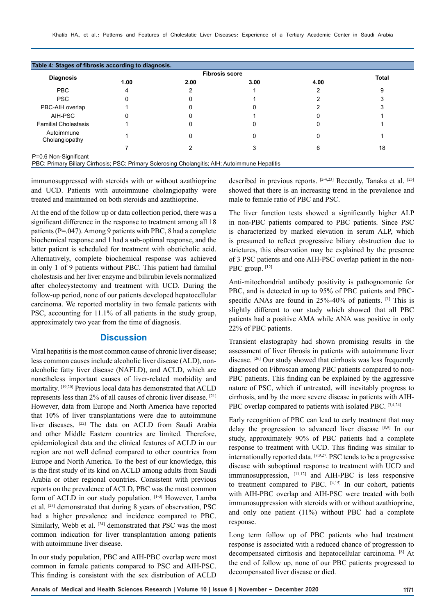| <b>Diagnosis</b>             | <b>Fibrosis score</b> |      |      |      |              |
|------------------------------|-----------------------|------|------|------|--------------|
|                              | 1.00                  | 2.00 | 3.00 | 4.00 | <b>Total</b> |
| <b>PBC</b>                   | 4                     |      |      |      | 9            |
| <b>PSC</b>                   |                       |      |      |      |              |
| PBC-AIH overlap              |                       |      |      |      |              |
| AIH-PSC                      |                       |      |      |      |              |
| <b>Familial Cholestasis</b>  |                       |      |      |      |              |
| Autoimmune<br>Cholangiopathy |                       |      |      |      |              |
|                              |                       |      |      | 6    | 18           |

immunosuppressed with steroids with or without azathioprine and UCD. Patients with autoimmune cholangiopathy were treated and maintained on both steroids and azathioprine.

At the end of the follow up or data collection period, there was a significant difference in the response to treatment among all 18 patients (P=.047). Among 9 patients with PBC, 8 had a complete biochemical response and 1 had a sub-optimal response, and the latter patient is scheduled for treatment with obeticholic acid. Alternatively, complete biochemical response was achieved in only 1 of 9 patients without PBC. This patient had familial cholestasis and her liver enzyme and bilirubin levels normalized after cholecystectomy and treatment with UCD. During the follow-up period, none of our patients developed hepatocellular carcinoma. We reported mortality in two female patients with PSC, accounting for 11.1% of all patients in the study group, approximately two year from the time of diagnosis.

## **Discussion**

Viral hepatitis is the most common cause of chronic liver disease; less common causes include alcoholic liver disease (ALD), nonalcoholic fatty liver disease (NAFLD), and ACLD, which are nonetheless important causes of liver-related morbidity and mortality. [19,20] Previous local data has demonstrated that ACLD represents less than 2% of all causes of chronic liver disease. [21] However, data from Europe and North America have reported that 10% of liver transplantations were due to autoimmune liver diseases. [22] The data on ACLD from Saudi Arabia and other Middle Eastern countries are limited. Therefore, epidemiological data and the clinical features of ACLD in our region are not well defined compared to other countries from Europe and North America. To the best of our knowledge, this is the first study of its kind on ACLD among adults from Saudi Arabia or other regional countries. Consistent with previous reports on the prevalence of ACLD, PBC was the most common form of ACLD in our study population. [1-3] However, Lamba et al. [23] demonstrated that during 8 years of observation, PSC had a higher prevalence and incidence compared to PBC. Similarly, Webb et al. <sup>[24]</sup> demonstrated that PSC was the most common indication for liver transplantation among patients with autoimmune liver disease.

In our study population, PBC and AIH-PBC overlap were most common in female patients compared to PSC and AIH-PSC. This finding is consistent with the sex distribution of ACLD

described in previous reports. <sup>[2-4,23]</sup> Recently, Tanaka et al. <sup>[25]</sup> showed that there is an increasing trend in the prevalence and male to female ratio of PBC and PSC.

The liver function tests showed a significantly higher ALP in non-PBC patients compared to PBC patients. Since PSC is characterized by marked elevation in serum ALP, which is presumed to reflect progressive biliary obstruction due to strictures, this observation may be explained by the presence of 3 PSC patients and one AIH-PSC overlap patient in the non-PBC group. [12]

Anti-mitochondrial antibody positivity is pathognomonic for PBC, and is detected in up to 95% of PBC patients and PBCspecific ANAs are found in 25%-40% of patients. [1] This is slightly different to our study which showed that all PBC patients had a positive AMA while ANA was positive in only 22% of PBC patients.

Transient elastography had shown promising results in the assessment of liver fibrosis in patients with autoimmune liver disease. [26] Our study showed that cirrhosis was less frequently diagnosed on Fibroscan among PBC patients compared to non-PBC patients. This finding can be explained by the aggressive nature of PSC, which if untreated, will inevitably progress to cirrhosis, and by the more severe disease in patients with AIH-PBC overlap compared to patients with isolated PBC. [3,4,24]

Early recognition of PBC can lead to early treatment that may delay the progression to advanced liver disease [8,9] In our study, approximately 90% of PBC patients had a complete response to treatment with UCD. This finding was similar to internationally reported data. [8,9,27] PSC tends to be a progressive disease with suboptimal response to treatment with UCD and immunosuppression, [11,12] and AIH-PBC is less responsive to treatment compared to PBC.  $[4,15]$  In our cohort, patients with AIH-PBC overlap and AIH-PSC were treated with both immunosuppression with steroids with or without azathioprine, and only one patient (11%) without PBC had a complete response.

Long term follow up of PBC patients who had treatment response is associated with a reduced chance of progression to decompensated cirrhosis and hepatocellular carcinoma. [8] At the end of follow up, none of our PBC patients progressed to decompensated liver disease or died.